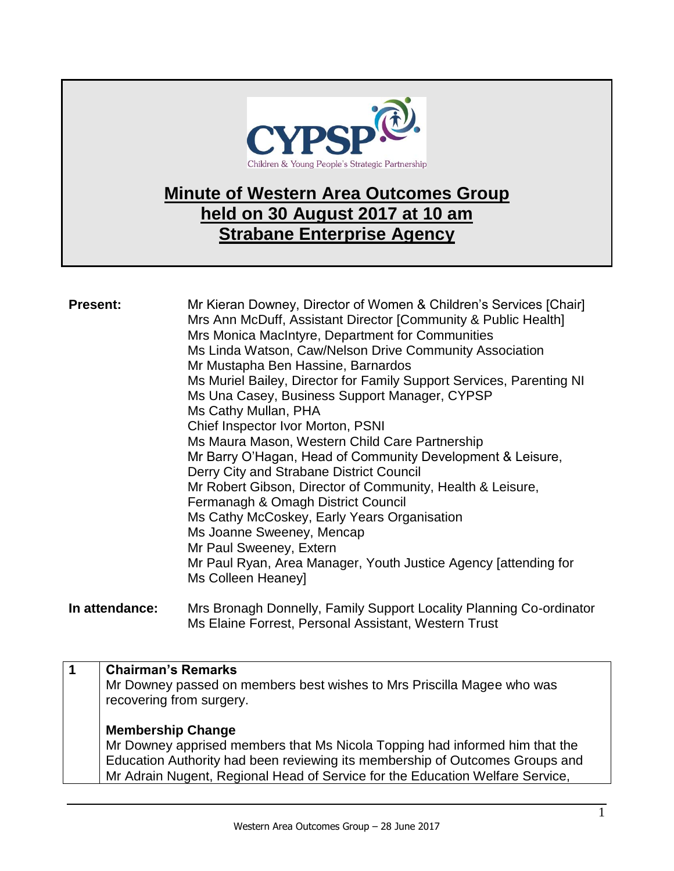

## **Minute of Western Area Outcomes Group held on 30 August 2017 at 10 am Strabane Enterprise Agency**

| <b>Present:</b> | Mr Kieran Downey, Director of Women & Children's Services [Chair]<br>Mrs Ann McDuff, Assistant Director [Community & Public Health]<br>Mrs Monica MacIntyre, Department for Communities<br>Ms Linda Watson, Caw/Nelson Drive Community Association<br>Mr Mustapha Ben Hassine, Barnardos<br>Ms Muriel Bailey, Director for Family Support Services, Parenting NI<br>Ms Una Casey, Business Support Manager, CYPSP<br>Ms Cathy Mullan, PHA<br>Chief Inspector Ivor Morton, PSNI<br>Ms Maura Mason, Western Child Care Partnership<br>Mr Barry O'Hagan, Head of Community Development & Leisure,<br>Derry City and Strabane District Council<br>Mr Robert Gibson, Director of Community, Health & Leisure,<br>Fermanagh & Omagh District Council<br>Ms Cathy McCoskey, Early Years Organisation<br>Ms Joanne Sweeney, Mencap<br>Mr Paul Sweeney, Extern<br>Mr Paul Ryan, Area Manager, Youth Justice Agency [attending for<br>Ms Colleen Heaney] |
|-----------------|------------------------------------------------------------------------------------------------------------------------------------------------------------------------------------------------------------------------------------------------------------------------------------------------------------------------------------------------------------------------------------------------------------------------------------------------------------------------------------------------------------------------------------------------------------------------------------------------------------------------------------------------------------------------------------------------------------------------------------------------------------------------------------------------------------------------------------------------------------------------------------------------------------------------------------------------|
|                 |                                                                                                                                                                                                                                                                                                                                                                                                                                                                                                                                                                                                                                                                                                                                                                                                                                                                                                                                                |

**In attendance:** Mrs Bronagh Donnelly, Family Support Locality Planning Co-ordinator Ms Elaine Forrest, Personal Assistant, Western Trust

## **1 Chairman's Remarks**

Mr Downey passed on members best wishes to Mrs Priscilla Magee who was recovering from surgery.

## **Membership Change**

Mr Downey apprised members that Ms Nicola Topping had informed him that the Education Authority had been reviewing its membership of Outcomes Groups and Mr Adrain Nugent, Regional Head of Service for the Education Welfare Service,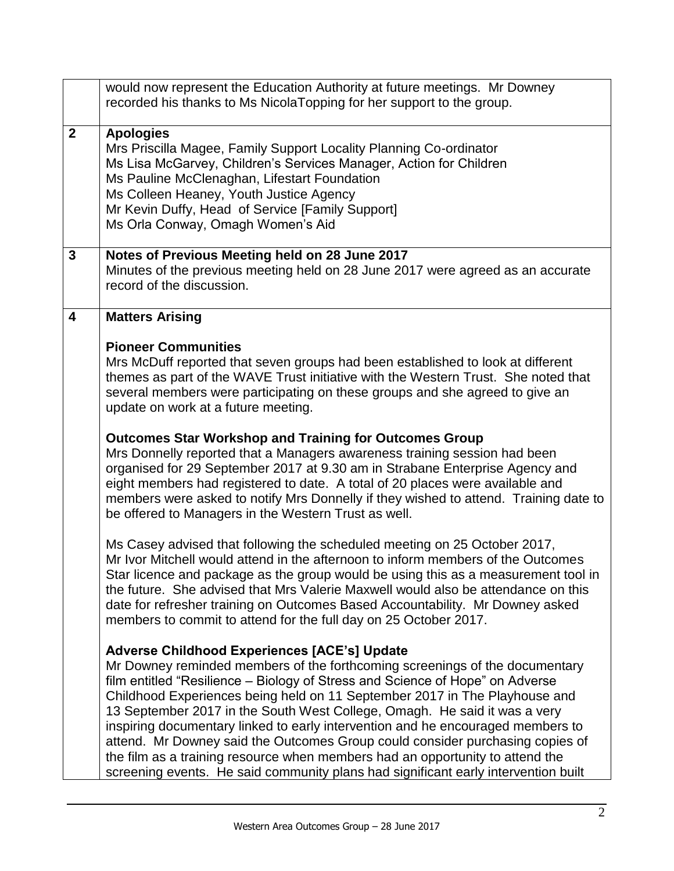|                         | would now represent the Education Authority at future meetings. Mr Downey<br>recorded his thanks to Ms NicolaTopping for her support to the group.                                                                                                                                                                                                                                                                                                                                                                                                                                                                                                                                                                        |
|-------------------------|---------------------------------------------------------------------------------------------------------------------------------------------------------------------------------------------------------------------------------------------------------------------------------------------------------------------------------------------------------------------------------------------------------------------------------------------------------------------------------------------------------------------------------------------------------------------------------------------------------------------------------------------------------------------------------------------------------------------------|
| $\mathbf{2}$            | <b>Apologies</b><br>Mrs Priscilla Magee, Family Support Locality Planning Co-ordinator<br>Ms Lisa McGarvey, Children's Services Manager, Action for Children<br>Ms Pauline McClenaghan, Lifestart Foundation<br>Ms Colleen Heaney, Youth Justice Agency<br>Mr Kevin Duffy, Head of Service [Family Support]<br>Ms Orla Conway, Omagh Women's Aid                                                                                                                                                                                                                                                                                                                                                                          |
| $\mathbf{3}$            | Notes of Previous Meeting held on 28 June 2017<br>Minutes of the previous meeting held on 28 June 2017 were agreed as an accurate<br>record of the discussion.                                                                                                                                                                                                                                                                                                                                                                                                                                                                                                                                                            |
| $\overline{\mathbf{4}}$ | <b>Matters Arising</b>                                                                                                                                                                                                                                                                                                                                                                                                                                                                                                                                                                                                                                                                                                    |
|                         | <b>Pioneer Communities</b><br>Mrs McDuff reported that seven groups had been established to look at different<br>themes as part of the WAVE Trust initiative with the Western Trust. She noted that<br>several members were participating on these groups and she agreed to give an<br>update on work at a future meeting.                                                                                                                                                                                                                                                                                                                                                                                                |
|                         | <b>Outcomes Star Workshop and Training for Outcomes Group</b><br>Mrs Donnelly reported that a Managers awareness training session had been<br>organised for 29 September 2017 at 9.30 am in Strabane Enterprise Agency and<br>eight members had registered to date. A total of 20 places were available and<br>members were asked to notify Mrs Donnelly if they wished to attend. Training date to<br>be offered to Managers in the Western Trust as well.                                                                                                                                                                                                                                                               |
|                         | Ms Casey advised that following the scheduled meeting on 25 October 2017,<br>Mr Ivor Mitchell would attend in the afternoon to inform members of the Outcomes<br>Star licence and package as the group would be using this as a measurement tool in<br>the future. She advised that Mrs Valerie Maxwell would also be attendance on this<br>date for refresher training on Outcomes Based Accountability. Mr Downey asked<br>members to commit to attend for the full day on 25 October 2017.                                                                                                                                                                                                                             |
|                         | <b>Adverse Childhood Experiences [ACE's] Update</b><br>Mr Downey reminded members of the forthcoming screenings of the documentary<br>film entitled "Resilience – Biology of Stress and Science of Hope" on Adverse<br>Childhood Experiences being held on 11 September 2017 in The Playhouse and<br>13 September 2017 in the South West College, Omagh. He said it was a very<br>inspiring documentary linked to early intervention and he encouraged members to<br>attend. Mr Downey said the Outcomes Group could consider purchasing copies of<br>the film as a training resource when members had an opportunity to attend the<br>screening events. He said community plans had significant early intervention built |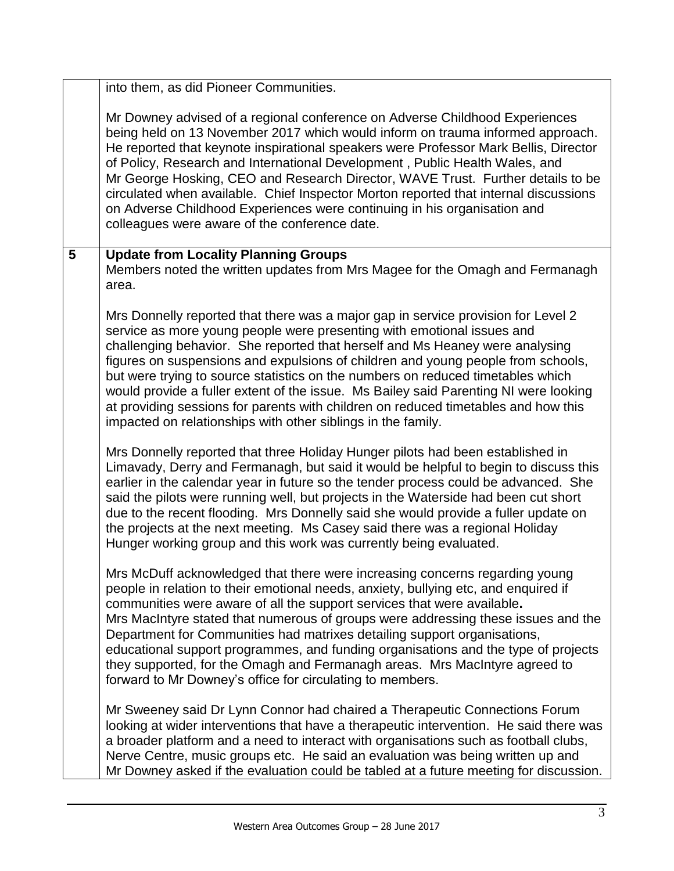|                | into them, as did Pioneer Communities.                                                                                                                                                                                                                                                                                                                                                                                                                                                                                                                                                                                                                           |
|----------------|------------------------------------------------------------------------------------------------------------------------------------------------------------------------------------------------------------------------------------------------------------------------------------------------------------------------------------------------------------------------------------------------------------------------------------------------------------------------------------------------------------------------------------------------------------------------------------------------------------------------------------------------------------------|
|                | Mr Downey advised of a regional conference on Adverse Childhood Experiences<br>being held on 13 November 2017 which would inform on trauma informed approach.<br>He reported that keynote inspirational speakers were Professor Mark Bellis, Director<br>of Policy, Research and International Development, Public Health Wales, and<br>Mr George Hosking, CEO and Research Director, WAVE Trust. Further details to be<br>circulated when available. Chief Inspector Morton reported that internal discussions<br>on Adverse Childhood Experiences were continuing in his organisation and<br>colleagues were aware of the conference date.                     |
| $5\phantom{1}$ | <b>Update from Locality Planning Groups</b><br>Members noted the written updates from Mrs Magee for the Omagh and Fermanagh<br>area.                                                                                                                                                                                                                                                                                                                                                                                                                                                                                                                             |
|                | Mrs Donnelly reported that there was a major gap in service provision for Level 2<br>service as more young people were presenting with emotional issues and<br>challenging behavior. She reported that herself and Ms Heaney were analysing<br>figures on suspensions and expulsions of children and young people from schools,<br>but were trying to source statistics on the numbers on reduced timetables which<br>would provide a fuller extent of the issue. Ms Bailey said Parenting NI were looking<br>at providing sessions for parents with children on reduced timetables and how this<br>impacted on relationships with other siblings in the family. |
|                | Mrs Donnelly reported that three Holiday Hunger pilots had been established in<br>Limavady, Derry and Fermanagh, but said it would be helpful to begin to discuss this<br>earlier in the calendar year in future so the tender process could be advanced. She<br>said the pilots were running well, but projects in the Waterside had been cut short<br>due to the recent flooding. Mrs Donnelly said she would provide a fuller update on<br>the projects at the next meeting. Ms Casey said there was a regional Holiday<br>Hunger working group and this work was currently being evaluated.                                                                  |
|                | Mrs McDuff acknowledged that there were increasing concerns regarding young<br>people in relation to their emotional needs, anxiety, bullying etc, and enquired if<br>communities were aware of all the support services that were available.<br>Mrs MacIntyre stated that numerous of groups were addressing these issues and the<br>Department for Communities had matrixes detailing support organisations,<br>educational support programmes, and funding organisations and the type of projects<br>they supported, for the Omagh and Fermanagh areas. Mrs MacIntyre agreed to<br>forward to Mr Downey's office for circulating to members.                  |
|                | Mr Sweeney said Dr Lynn Connor had chaired a Therapeutic Connections Forum<br>looking at wider interventions that have a therapeutic intervention. He said there was<br>a broader platform and a need to interact with organisations such as football clubs,<br>Nerve Centre, music groups etc. He said an evaluation was being written up and<br>Mr Downey asked if the evaluation could be tabled at a future meeting for discussion.                                                                                                                                                                                                                          |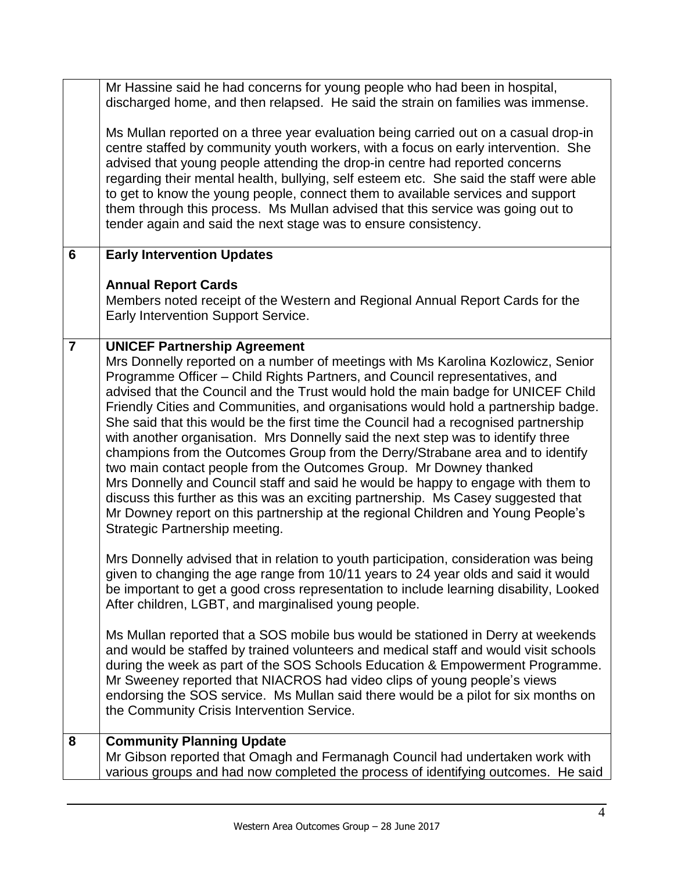|                | Mr Hassine said he had concerns for young people who had been in hospital,<br>discharged home, and then relapsed. He said the strain on families was immense.                                                                                                                                                                                                                                                                                                                                                                                                                                                                                                                                                                                                                                                                                                                                                                                                                                                       |
|----------------|---------------------------------------------------------------------------------------------------------------------------------------------------------------------------------------------------------------------------------------------------------------------------------------------------------------------------------------------------------------------------------------------------------------------------------------------------------------------------------------------------------------------------------------------------------------------------------------------------------------------------------------------------------------------------------------------------------------------------------------------------------------------------------------------------------------------------------------------------------------------------------------------------------------------------------------------------------------------------------------------------------------------|
|                | Ms Mullan reported on a three year evaluation being carried out on a casual drop-in<br>centre staffed by community youth workers, with a focus on early intervention. She<br>advised that young people attending the drop-in centre had reported concerns<br>regarding their mental health, bullying, self esteem etc. She said the staff were able<br>to get to know the young people, connect them to available services and support<br>them through this process. Ms Mullan advised that this service was going out to<br>tender again and said the next stage was to ensure consistency.                                                                                                                                                                                                                                                                                                                                                                                                                        |
| 6              | <b>Early Intervention Updates</b>                                                                                                                                                                                                                                                                                                                                                                                                                                                                                                                                                                                                                                                                                                                                                                                                                                                                                                                                                                                   |
|                | <b>Annual Report Cards</b><br>Members noted receipt of the Western and Regional Annual Report Cards for the<br>Early Intervention Support Service.                                                                                                                                                                                                                                                                                                                                                                                                                                                                                                                                                                                                                                                                                                                                                                                                                                                                  |
| $\overline{7}$ | <b>UNICEF Partnership Agreement</b><br>Mrs Donnelly reported on a number of meetings with Ms Karolina Kozlowicz, Senior<br>Programme Officer - Child Rights Partners, and Council representatives, and<br>advised that the Council and the Trust would hold the main badge for UNICEF Child<br>Friendly Cities and Communities, and organisations would hold a partnership badge.<br>She said that this would be the first time the Council had a recognised partnership<br>with another organisation. Mrs Donnelly said the next step was to identify three<br>champions from the Outcomes Group from the Derry/Strabane area and to identify<br>two main contact people from the Outcomes Group. Mr Downey thanked<br>Mrs Donnelly and Council staff and said he would be happy to engage with them to<br>discuss this further as this was an exciting partnership. Ms Casey suggested that<br>Mr Downey report on this partnership at the regional Children and Young People's<br>Strategic Partnership meeting. |
|                | Mrs Donnelly advised that in relation to youth participation, consideration was being<br>given to changing the age range from 10/11 years to 24 year olds and said it would<br>be important to get a good cross representation to include learning disability, Looked<br>After children, LGBT, and marginalised young people.                                                                                                                                                                                                                                                                                                                                                                                                                                                                                                                                                                                                                                                                                       |
|                | Ms Mullan reported that a SOS mobile bus would be stationed in Derry at weekends<br>and would be staffed by trained volunteers and medical staff and would visit schools<br>during the week as part of the SOS Schools Education & Empowerment Programme.<br>Mr Sweeney reported that NIACROS had video clips of young people's views<br>endorsing the SOS service. Ms Mullan said there would be a pilot for six months on<br>the Community Crisis Intervention Service.                                                                                                                                                                                                                                                                                                                                                                                                                                                                                                                                           |
| 8              | <b>Community Planning Update</b>                                                                                                                                                                                                                                                                                                                                                                                                                                                                                                                                                                                                                                                                                                                                                                                                                                                                                                                                                                                    |
|                | Mr Gibson reported that Omagh and Fermanagh Council had undertaken work with<br>various groups and had now completed the process of identifying outcomes. He said                                                                                                                                                                                                                                                                                                                                                                                                                                                                                                                                                                                                                                                                                                                                                                                                                                                   |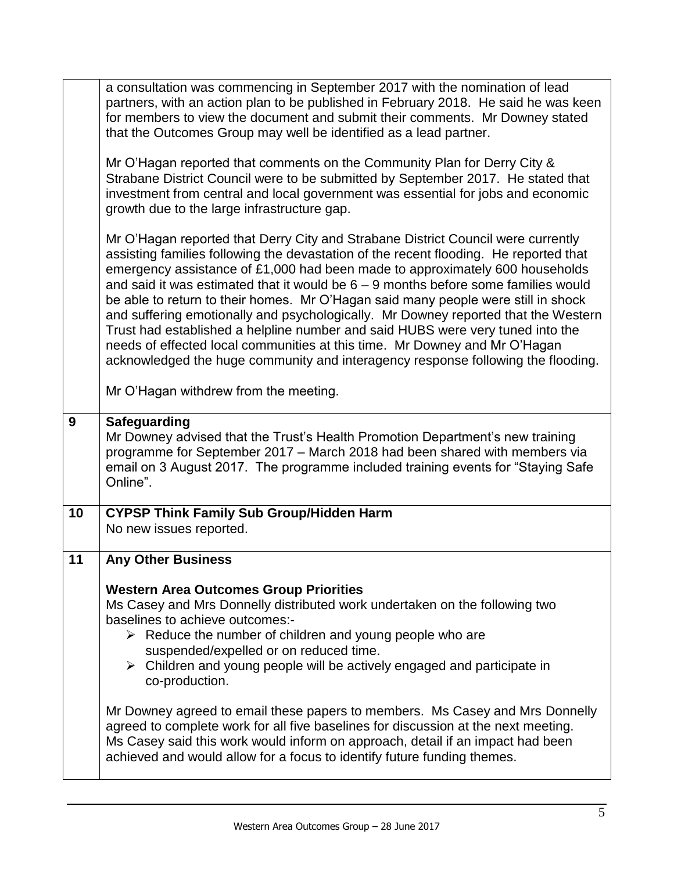|    | a consultation was commencing in September 2017 with the nomination of lead<br>partners, with an action plan to be published in February 2018. He said he was keen<br>for members to view the document and submit their comments. Mr Downey stated<br>that the Outcomes Group may well be identified as a lead partner.                                                                                                                                                                                                                                                                                                                                                                                                                                                          |
|----|----------------------------------------------------------------------------------------------------------------------------------------------------------------------------------------------------------------------------------------------------------------------------------------------------------------------------------------------------------------------------------------------------------------------------------------------------------------------------------------------------------------------------------------------------------------------------------------------------------------------------------------------------------------------------------------------------------------------------------------------------------------------------------|
|    | Mr O'Hagan reported that comments on the Community Plan for Derry City &<br>Strabane District Council were to be submitted by September 2017. He stated that<br>investment from central and local government was essential for jobs and economic<br>growth due to the large infrastructure gap.                                                                                                                                                                                                                                                                                                                                                                                                                                                                                  |
|    | Mr O'Hagan reported that Derry City and Strabane District Council were currently<br>assisting families following the devastation of the recent flooding. He reported that<br>emergency assistance of £1,000 had been made to approximately 600 households<br>and said it was estimated that it would be $6 - 9$ months before some families would<br>be able to return to their homes. Mr O'Hagan said many people were still in shock<br>and suffering emotionally and psychologically. Mr Downey reported that the Western<br>Trust had established a helpline number and said HUBS were very tuned into the<br>needs of effected local communities at this time. Mr Downey and Mr O'Hagan<br>acknowledged the huge community and interagency response following the flooding. |
|    | Mr O'Hagan withdrew from the meeting.                                                                                                                                                                                                                                                                                                                                                                                                                                                                                                                                                                                                                                                                                                                                            |
| 9  | <b>Safeguarding</b><br>Mr Downey advised that the Trust's Health Promotion Department's new training<br>programme for September 2017 - March 2018 had been shared with members via<br>email on 3 August 2017. The programme included training events for "Staying Safe"<br>Online".                                                                                                                                                                                                                                                                                                                                                                                                                                                                                              |
| 10 | <b>CYPSP Think Family Sub Group/Hidden Harm</b><br>No new issues reported.                                                                                                                                                                                                                                                                                                                                                                                                                                                                                                                                                                                                                                                                                                       |
| 11 | <b>Any Other Business</b>                                                                                                                                                                                                                                                                                                                                                                                                                                                                                                                                                                                                                                                                                                                                                        |
|    | <b>Western Area Outcomes Group Priorities</b><br>Ms Casey and Mrs Donnelly distributed work undertaken on the following two<br>baselines to achieve outcomes:-<br>$\triangleright$ Reduce the number of children and young people who are<br>suspended/expelled or on reduced time.<br>$\triangleright$ Children and young people will be actively engaged and participate in<br>co-production.                                                                                                                                                                                                                                                                                                                                                                                  |
|    | Mr Downey agreed to email these papers to members. Ms Casey and Mrs Donnelly<br>agreed to complete work for all five baselines for discussion at the next meeting.<br>Ms Casey said this work would inform on approach, detail if an impact had been<br>achieved and would allow for a focus to identify future funding themes.                                                                                                                                                                                                                                                                                                                                                                                                                                                  |